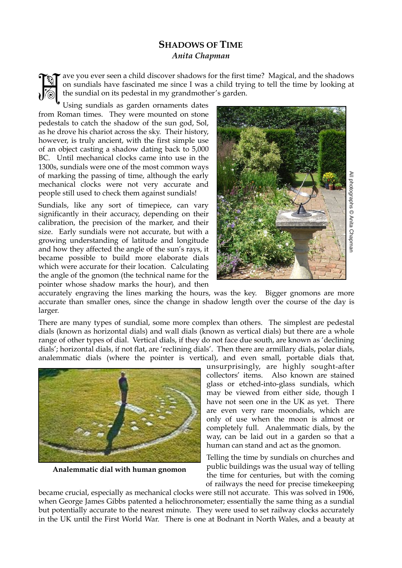## **SHADOWS OF TIME**  *Anita Chapman*

ave you ever seen a child discover shadows for the first time? Magical, and the shadows on sundials have fascinated me since I was a child trying to tell the time by looking at the sundial on its pedestal in my grandmother's garden.

Using sundials as garden ornaments dates from Roman times. They were mounted on stone pedestals to catch the shadow of the sun god, Sol, as he drove his chariot across the sky. Their history, however, is truly ancient, with the first simple use of an object casting a shadow dating back to 5,000 BC. Until mechanical clocks came into use in the 1300s, sundials were one of the most common ways of marking the passing of time, although the early mechanical clocks were not very accurate and people still used to check them against sundials!

Sundials, like any sort of timepiece, can vary significantly in their accuracy, depending on their calibration, the precision of the marker, and their size. Early sundials were not accurate, but with a growing understanding of latitude and longitude and how they affected the angle of the sun's rays, it became possible to build more elaborate dials which were accurate for their location. Calculating the angle of the gnomon (the technical name for the pointer whose shadow marks the hour), and then



accurately engraving the lines marking the hours, was the key. Bigger gnomons are more accurate than smaller ones, since the change in shadow length over the course of the day is larger.

There are many types of sundial, some more complex than others. The simplest are pedestal dials (known as horizontal dials) and wall dials (known as vertical dials) but there are a whole range of other types of dial. Vertical dials, if they do not face due south, are known as 'declining dials'; horizontal dials, if not flat, are 'reclining dials'. Then there are armillary dials, polar dials, analemmatic dials (where the pointer is vertical), and even small, portable dials that,



**Analemmatic dial with human gnomon**

unsurprisingly, are highly sought-after collectors' items. Also known are stained glass or etched-into-glass sundials, which may be viewed from either side, though I have not seen one in the UK as yet. There are even very rare moondials, which are only of use when the moon is almost or completely full. Analemmatic dials, by the way, can be laid out in a garden so that a human can stand and act as the gnomon.

Telling the time by sundials on churches and public buildings was the usual way of telling the time for centuries, but with the coming of railways the need for precise timekeeping

became crucial, especially as mechanical clocks were still not accurate. This was solved in 1906, when George James Gibbs patented a heliochronometer; essentially the same thing as a sundial but potentially accurate to the nearest minute. They were used to set railway clocks accurately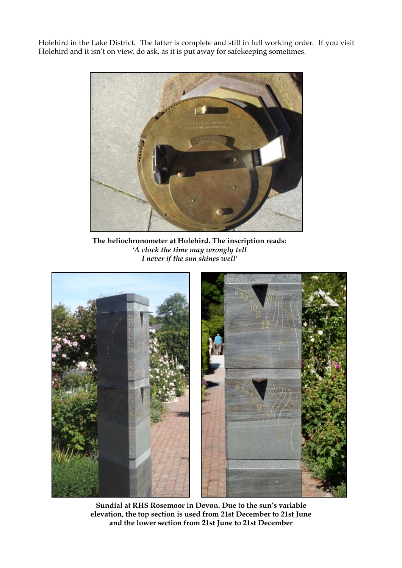Holehird in the Lake District. The latter is complete and still in full working order. If you visit Holehird and it isn't on view, do ask, as it is put away for safekeeping sometimes.



**The heliochronometer at Holehird. The inscription reads:**  *'A clock the time may wrongly tell I never if the sun shines well'*



**Sundial at RHS Rosemoor in Devon. Due to the sun's variable elevation, the top section is used from 21st December to 21st June and the lower section from 21st June to 21st December**